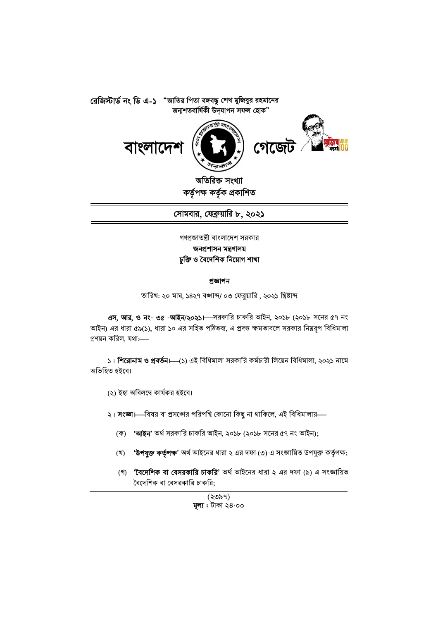





অতিরিক্ত সংখ্যা কৰ্তৃপক্ষ কৰ্তৃক প্ৰকাশিত

সোমবার, ফেব্রুয়ারি ৮, ২০২১

গণপ্রজাতন্ত্রী বাংলাদেশ সরকার জনপ্ৰশাসন মন্ত্ৰণালয় চুক্তি ও বৈদেশিক নিয়োগ শাখা

#### প্ৰজ্ঞাপন

তারিখ: ২০ মাঘ, ১৪২৭ বঙ্গাব্দ/ ০৩ ফেব্রুয়ারি , ২০২১ খ্রিষ্টাব্দ

এস, আর, ও নং- ৩৫ -আইন/২০২১। সরকারি চাকরি আইন, ২০১৮ (২০১৮ সনের ৫৭ নং আইন) এর ধারা ৫৯(১), ধারা ১০ এর সহিত পঠিতব্য, এ প্রদত্ত ক্ষমতাবলে সরকার নিম্নরূপ বিধিমালা প্রণয়ন করিল, যথা:----

১। শিরোনাম ও প্রবর্তন।—(১) এই বিধিমালা সরকারি কর্মচারী লিয়েন বিধিমালা, ২০২১ নামে অভিহিত হইবে।

- (২) ইহা অবিলম্বে কাৰ্যকর হইবে।
- ২। সংজ্ঞা।—বিষয় বা প্রসঙ্গের পরিপন্থি কোনো কিছু না থাকিলে, এই বিধিমালায়—
	- (ক) 'আইন' অৰ্থ সরকারি চাকরি আইন, ২০১৮ (২০১৮ সনের ৫৭ নং আইন);
	- 'উপযুক্ত কর্তৃপক্ষ' অর্থ আইনের ধারা ২ এর দফা (৩) এ সংজ্ঞায়িত উপযুক্ত কর্তৃপক্ষ; (খ)
	- (গ) **'বৈদেশিক বা বেসরকারি চাকরি'** অর্থ আইনের ধারা ২ এর দফা (৯) এ সংজ্ঞায়িত বৈদেশিক বা বেসরকারি চাকরি;

(২৩৯৭) মূল্য: টাকা ২৪ $\cdot$ ০০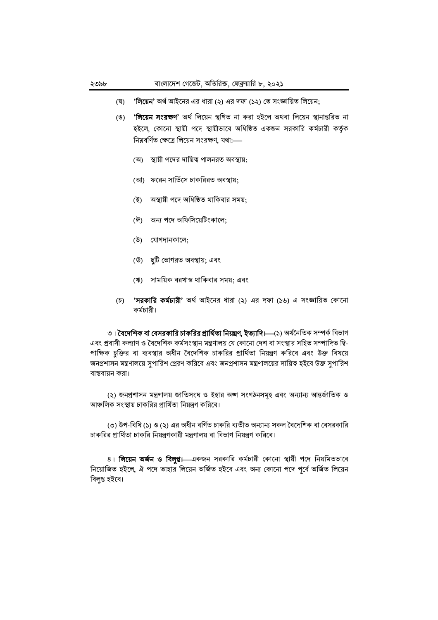- **'লিয়েন'** অর্থ আইনের এর ধারা (২) এর দফা (১২) তে সংজ্ঞায়িত লিয়েন; (ঘৃ)
- (ঙ) **'লিয়েন সংরক্ষণ'** অর্থ লিয়েন স্থগিত না করা হইলে অথবা লিয়েন স্থানান্তরিত না হইলে, কোনো স্থায়ী পদে স্থায়ীভাবে অধিষ্ঠিত একজন সরকারি কর্মচারী কর্তৃক নিয়বর্ণিত ক্ষেত্রে লিয়েন সংরক্ষণ, যথা:-
	- (অ) স্থায়ী পদের দায়িত্ব পালনরত অবস্থায়;
	- (আ) ফরেন সার্ভিসে চাকরিরত অবস্থায়;
	- (ই) অস্থায়ী পদে অধিষ্ঠিত থাকিবার সময়:
	- (ঈ) অন্য পদে অফিসিয়েটিংকালে;
	- (উ) যোগদানকালে;
	- (উ) ছুটি ভোগরত অবস্থায়; এবং
	- (ঋ) সাময়িক বরখান্ত থাকিবার সময়; এবং
- (চ) **'সরকারি কর্মচারী'** অর্থ আইনের ধারা (২) এর দফা (১৬) এ সংজ্ঞায়িত কোনো কর্মচারী।

৩। **বৈদেশিক বা বেসরকারি চাকরির প্রার্থিতা নিয়ন্ত্রণ, ইত্যাদি।—্(**১) অর্থনৈতিক সম্পর্ক বিভাগ এবং প্রবাসী কল্যাণ ও বৈদেশিক কর্মসংস্থান মন্ত্রণালয় যে কোনো দেশ বা সংস্থার সহিত সম্পাদিত দ্বি-পাক্ষিক চুক্তির বা ব্যবস্থার অধীন বৈদেশিক চাকরির প্রার্থিতা নিয়ন্ত্রণ করিবে এবং উক্ত বিষয়ে জনপ্রশাসন মন্ত্রণালয়ে সুপারিশ প্রেরণ করিবে এবং জনপ্রশাসন মন্ত্রণালয়ের দায়িত্ব হইবে উক্ত সুপারিশ বাস্তবায়ন করা।

(২) জনপ্রশাসন মন্ত্রণালয় জাতিসংঘ ও ইহার অঙ্গ সংগঠনসমূহ এবং অন্যান্য আন্তর্জাতিক ও আঞ্চলিক সংস্থায় চাকরির প্রার্থিতা নিয়ন্ত্রণ করিবে।

(৩) উপ-বিধি (১) ও (২) এর অধীন বর্ণিত চাকরি ব্যতীত অন্যান্য সকল বৈদেশিক বা বেসরকারি চাকরির প্রার্থিতা চাকরি নিয়ন্ত্রণকারী মন্ত্রণালয় বা বিভাগ নিয়ন্ত্রণ করিবে।

৪। **লিয়েন অর্জন ও বিলুপ্ত।** একজন সরকারি কর্মচারী কোনো স্থায়ী পদে নিয়মিতভাবে নিয়োজিত হইলে, ঐ পদে তাহার লিয়েন অর্জিত হইবে এবং অন্য কোনো পদে পূর্বে অর্জিত লিয়েন বিলুপ্ত হইবে।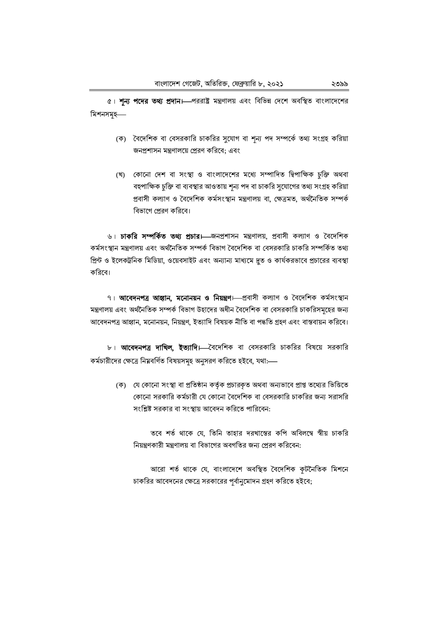৫। শন্য পদের তথ্য প্রদান। পররাষ্ট্র মন্ত্রণালয় এবং বিভিন্ন দেশে অবস্থিত বাংলাদেশের মিশনসমূহ—

- (ক) বৈদেশিক বা বেসরকারি চাকরির সুযোগ বা শূন্য পদ সম্পর্কে তথ্য সংগ্রহ করিয়া জনপ্রশাসন মন্ত্রণালয়ে প্রেরণ করিবে: এবং
- (খ) কোনো দেশ বা সংস্থা ও বাংলাদেশের মধ্যে সম্পাদিত দ্বিপাক্ষিক চুক্তি অথবা বহুপাক্ষিক চুক্তি বা ব্যবস্থার আওতায় শূন্য পদ বা চাকরি সুযোগের তথ্য সংগ্রহ করিয়া প্ৰবাসী কল্যাণ ও বৈদেশিক কৰ্মসংস্থান মন্ত্ৰণালয় বা, ক্ষেত্ৰমত, অৰ্থনৈতিক সম্পৰ্ক বিভাগে প্রেরণ করিবে।

৬। **চাকরি সম্পর্কিত তথ্য প্রচার।** জনপ্রশাসন মন্ত্রণালয়, প্রবাসী কল্যাণ ও বৈদেশিক কর্মসংস্থান মন্ত্রণালয় এবং অর্থনৈতিক সম্পর্ক বিভাগ বৈদেশিক বা বেসরকারি চাকরি সম্পর্কিত তথা প্রিন্ট ও ইলেকট্রনিক মিডিয়া, ওয়েবসাইট এবং অন্যান্য মাধ্যমে দ্রুত ও কার্যকরভাবে প্রচারের ব্যবস্থা করিবে।

৭। আবেদনপত্র আহ্বান, মনোনয়ন ও নিয়ন্ত্রণ। প্রবাসী কল্যাণ ও বৈদেশিক কর্মসংস্থান মন্ত্রণালয় এবং অর্থনৈতিক সম্পর্ক বিভাগ উহাদের অধীন বৈদেশিক বা বেসরকারি চাকরিসমৃহের জন্য আবেদনপত্র আহ্বান, মনোনয়ন, নিয়ন্ত্রণ, ইত্যাদি বিষয়ক নীতি বা পদ্ধতি গ্রহণ এবং বাস্তবায়ন করিবে।

৮। **আবেদনপত্র দাখিল, ইত্যাদি।** বৈদেশিক বা বেসরকারি চাকরির বিষয়ে সরকারি কর্মচারীদের ক্ষেত্রে নিম্নবর্ণিত বিষয়সমহ অনুসরণ করিতে হইবে, যথা:—

(ক) যে কোনো সংস্থা বা প্রতিষ্ঠান কর্তৃক প্রচারকৃত অথবা অন্যভাবে প্রাপ্ত তথ্যের ভিত্তিতে কোনো সরকারি কর্মচারী যে কোনো বৈদেশিক বা বেসরকারি চাকরির জন্য সরাসরি সংশ্লিষ্ট সরকার বা সংস্থায় আবেদন করিতে পারিবেন:

তবে শর্ত থাকে যে, তিনি তাহার দরখাস্তের কপি অবিলম্বে স্বীয় চাকরি নিয়ন্নণকারী মন্নণালয় বা বিভাগের অবগতির জন্য প্রেরণ করিবেন:

আরো শর্ত থাকে যে, বাংলাদেশে অবস্থিত বৈদেশিক কূটনৈতিক মিশনে চাকরির আবেদনের ক্ষেত্রে সরকারের পর্বানুমোদন গ্রহণ করিতে হইবে;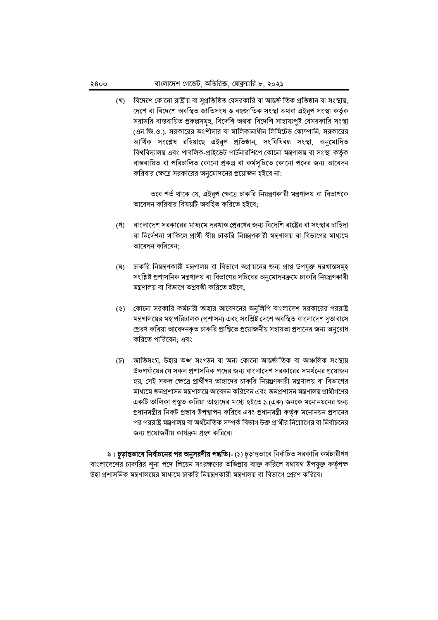বিদেশে কোনো রাষ্ট্রীয় বা সুপ্রতিষ্ঠিত বেসরকারি বা আন্তর্জাতিক প্রতিষ্ঠান বা সংস্থায়, (খ) দেশে বা বিদেশে অবস্থিত জাতিসংঘ ও বহুজাতিক সংস্থা অথবা এইরূপ সংস্থা কর্তৃক সরাসরি বাস্তবায়িত প্রকল্পসমূহ, বিদেশি অথবা বিদেশি সাহায্যপুষ্ট বেসরকারি সংস্থা (এন.জি.ও.), সরকারের অংশীদার বা মালিকানাধীন লিমিটেড কোম্পানি, সরকারের আৰ্থিক সংশ্লেষ রহিয়াছে এইরূপ প্রতিষ্ঠান, সংবিধিবদ্ধ সংস্থা, অনুমোদিত বিশ্ববিদ্যালয় এবং পাবলিক-প্রাইভেট পার্টনারশিপে কোনো মন্ত্রণালয় বা সংস্থা কর্তৃক বাস্তবায়িত বা পরিচালিত কোনো প্রকল্প বা কর্মসূচিতে কোনো পদের জন্য আবেদন করিবার ক্ষেত্রে সরকারের অনুমোদনের প্রয়োজন হইবে না:

তবে শর্ত থাকে যে, এইরূপ ক্ষেত্রে চাকরি নিয়ন্ত্রণকারী মন্ত্রণালয় বা বিভাগকে আবেদন করিবার বিষয়টি অবহিত করিতে হইবে;

- বাংলাদেশ সরকারের মাধ্যমে দরখাস্ত প্রেরণের জন্য বিদেশি রাষ্ট্রের বা সংস্থার চাহিদা  $($ গী বা নির্দেশনা থাকিলে প্রার্থী স্বীয় চাকরি নিয়ন্ত্রণকারী মন্ত্রণালয় বা বিভাগের মাধ্যমে আবেদন করিবেন;
- (ঘ) চাকরি নিয়ন্ত্রণকারী মন্ত্রণালয় বা বিভাগে অগ্রায়নের জন্য প্রাপ্ত উপযুক্ত দরখান্তসমূহ সংশ্লিষ্ট প্রশাসনিক মন্ত্রণালয় বা বিভাগের সচিবের অনুমোদনক্রমে চাকরি নিয়ন্ত্রণকারী মন্ত্রণালয় বা বিভাগে অগ্রবর্তী করিতে হইবে;
- (ঙ) কোনো সরকারি কর্মচারী তাহার আবেদনের অনুলিপি বাংলাদেশ সরকারের পররাষ্ট্র মন্ত্রণালয়ের মহাপরিচালক (প্রশাসন) এবং সংশ্লিষ্ট দেশে অবস্থিত বাংলাদেশ দূতাবাসে প্রেরণ করিয়া আবেদনকৃত চাকরি প্রাপ্তিতে প্রয়োজনীয় সহায়তা প্রদানের জন্য অনুরোধ করিতে পারিবেন: এবং
- (চ) জাতিসংঘ, উহার অঙ্গ সংগঠন বা অন্য কোনো আন্তর্জাতিক বা আঞ্চলিক সংস্থায় উচ্চপর্যায়ের যে সকল প্রশাসনিক পদের জন্য বাংলাদেশ সরকারের সমর্থনের প্রয়োজন হয়, সেই সকল ক্ষেত্রে প্রার্থীগণ তাহাদের চাকরি নিয়ন্ত্রণকারী মন্ত্রণালয় বা বিভাগের মাধ্যমে জনপ্রশাসন মন্ত্রণালয়ে আবেদন করিবেন এবং জনপ্রশাসন মন্ত্রণালয় প্রার্থীগণের একটি তালিকা প্রস্তুত করিয়া তাহাদের মধ্যে হইতে ১ (এক) জনকে মনোনয়নের জন্য প্রধানমন্ত্রীর নিকট প্রস্তাব উপস্থাপন করিবে এবং প্রধানমন্ত্রী কর্তৃক মনোনয়ন প্রদানের পর পররাষ্ট্র মন্ত্রণালয় বা অর্থনৈতিক সম্পর্ক বিভাগ উক্ত প্রার্থীর নিয়োগের বা নির্বাচনের জন্য প্রয়োজনীয় কার্যক্রম গ্রহণ করিবে।

৯। **চূড়ান্তভাবে নির্বাচনের পর অনুসরণীয় পদ্ধতি।-** (১) চূড়ান্তভাবে নির্বাচিত সরকারি কর্মচারীগণ বাংলাদেশের চাকরির শূন্য পদে লিয়েন সংরক্ষণের অভিপ্রায় ব্যক্ত করিলে যথাযথ উপযুক্ত কর্তৃপক্ষ উহা প্রশাসনিক মন্ত্রণালয়ের মাধ্যমে চাকরি নিয়ন্ত্রণকারী মন্ত্রণালয় বা বিভাগে প্রেরণ করিবে।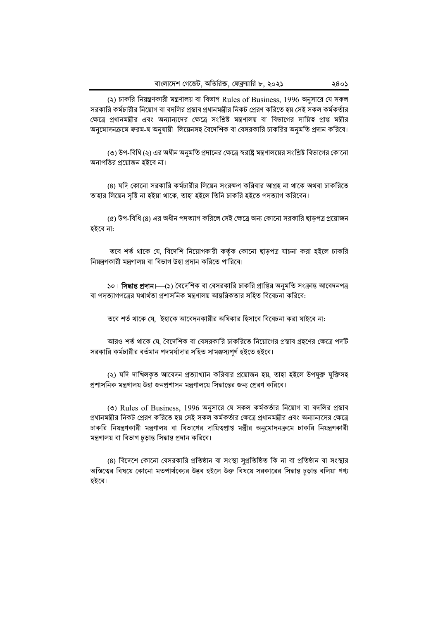(২) চাকরি নিয়ন্ত্রণকারী মন্ত্রণালয় বা বিভাগ Rules of Business, 1996 অনুসারে যে সকল সরকারি কর্মচারীর নিয়োগ বা বদলির প্রস্তাব প্রধানমন্ত্রীর নিকট প্রেরণ করিতে হয় সেই সকল কর্মকর্তার ক্ষেত্রে প্রধানমন্ত্রীর এবং অন্যান্যদের ক্ষেত্রে সংশ্লিষ্ট মন্ত্রণালয় বা বিভাগের দায়িত্ব প্রাপ্ত মন্ত্রীর অনুমোদনক্রমে ফরম-ঘ অনুযায়ী লিয়েনসহ বৈদেশিক বা বেসরকারি চাকরির অনুমতি প্রদান করিবে।

(৩) উপ-বিধি (২) এর অধীন অনুমতি প্রদানের ক্ষেত্রে স্বরাষ্ট্র মন্ত্রণালয়ের সংশ্লিষ্ট বিভাগের কোনো অনাপত্তির প্রয়োজন হইবে না।

(৪) যদি কোনো সরকারি কর্মচারীর লিয়েন সংরক্ষণ করিবার আগ্রহ না থাকে অথবা চাকরিতে তাহার লিয়েন সৃষ্টি না হইয়া থাকে, তাহা হইলে তিনি চাকরি হইতে পদত্যাগ করিবেন।

(৫) উপ-বিধি (৪) এর অধীন পদত্যাগ করিলে সেই ক্ষেত্রে অন্য কোনো সরকারি ছাড়পত্র প্রয়োজন হইবে না:

তবে শর্ত থাকে যে, বিদেশি নিয়োগকারী কর্তৃক কোনো ছাড়পত্র যাচনা করা হইলে চাকরি নিয়ন্ত্রণকারী মন্ত্রণালয় বা বিভাগ উহা প্রদান করিতে পারিবে।

১০। **সিদ্ধান্ত প্রদান।—(**১) বৈদেশিক বা বেসরকারি চাকরি প্রাপ্তির অনুমতি সংক্রান্ত আবেদনপত্র বা পদত্যাগপত্রের যথার্থতা পশাসনিক মন্নণালয় আন্নরিকতার সহিত বিবেচনা করিবে:

তবে শর্ত থাকে যে, ইহাকে আবেদনকারীর অধিকার হিসাবে বিবেচনা করা যাইবে না:

আরও শর্ত থাকে যে, বৈদেশিক বা বেসরকারি চাকরিতে নিয়োগের প্রস্তাব গ্রহণের ক্ষেত্রে পদটি সরকারি কর্মচারীর বর্তমান পদমর্যাদার সহিত সামঞ্জস্যপর্ণ হইতে হইবে।

(২) যদি দাখিলকত আবেদন প্রত্যাখ্যান করিবার প্রয়োজন হয়, তাহা হইলে উপযুক্ত যুক্তিসহ প্রশাসনিক মন্ত্রণালয় উহা জনপ্রশাসন মন্ত্রণালয়ে সিদ্ধান্তের জন্য প্রেরণ করিবে।

(৩) Rules of Business, 1996 অনুসারে যে সকল কর্মকর্তার নিয়োগ বা বদলির প্রস্তাব প্রধানমন্ত্রীর নিকট প্রেরণ করিতে হয় সেই সকল কর্মকর্তার ক্ষেত্রে প্রধানমন্ত্রীর এবং অন্যান্যদের ক্ষেত্রে চাকরি নিয়ন্ত্রণকারী মন্ত্রণালয় বা বিভাগের দায়িত্বপ্রাপ্ত মন্ত্রীর অনুমোদনক্রমে চাকরি নিয়ন্ত্রণকারী মন্ত্রণালয় বা বিভাগ চড়ান্ত সিদ্ধান্ত প্রদান করিবে।

(৪) বিদেশে কোনো বেসরকারি প্রতিষ্ঠান বা সংস্থা সুপ্রতিষ্ঠিত কি না বা প্রতিষ্ঠান বা সংস্থার অস্তিতের বিষয়ে কোনো মতপার্থক্যের উদ্ভব হইলে উক্ত বিষয়ে সরকারের সিদ্ধান্ত চূড়ান্ত বলিয়া গণ্য হইবে।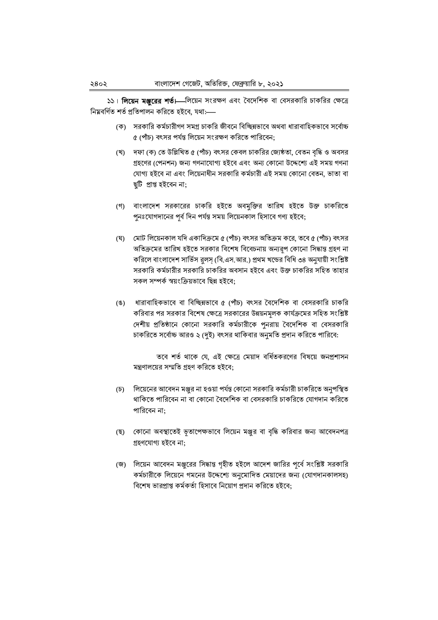১১। **লিয়েন মঞ্জুরের শর্ত।** লিয়েন সংরক্ষণ এবং বৈদেশিক বা বেসরকারি চাকরির ক্ষেত্রে নিয়বর্ণিত শর্ত প্রতিপালন করিতে হইবে, যথা:---

- (ক) সরকারি কর্মচারীগণ সমগ্র চাকরি জীবনে বিচ্ছিন্নভাবে অথবা ধারাবাহিকভাবে সর্বোচ্চ ৫ (পাঁচ) বৎসর পর্যন্ত লিয়েন সংরক্ষণ করিতে পারিবেন;
- (খ) দফা (ক) তে উল্লিখিত ৫ (পাঁচ) বৎসর কেবল চাকরির জ্যেষ্ঠতা, বেতন বদ্ধি ও অবসর গ্ৰহণের (পেনশন) জন্য গণনাযোগ্য হইবে এবং অন্য কোনো উদ্দেশ্যে এই সময় গণনা যোগ্য হইবে না এবং লিয়েনাধীন সরকারি কর্মচারী এই সময় কোনো বেতন, ভাতা বা ছটি প্ৰাপ্ত হইবেন না;
- (গ) বাংলাদেশ সরকারের চাকরি হইতে অবমুক্তির তারিখ হইতে উক্ত চাকরিতে পুনঃযোগদানের পর্ব দিন পর্যন্ত সময় লিয়েনকাল হিসাবে গণ্য হইবে;
- (ঘ) মোট লিয়েনকাল যদি একাদিক্রমে ৫ (পাঁচ) বৎসর অতিক্রম করে, তবে ৫ (পাঁচ) বৎসর অতিক্রমের তারিখ হইতে সরকার বিশেষ বিবেচনায় অন্যরূপ কোনো সিদ্ধান্ত গ্রহণ না করিলে বাংলাদেশ সার্ভিস রুলস্ (বি.এস.আর.) প্রথম খন্ডের বিধি ৩৪ অনুযায়ী সংশ্লিষ্ট সরকারি কর্মচারীর সরকারি চাকরির অবসান হইবে এবং উক্ত চাকরির সহিত তাহার সকল সম্পর্ক স্বয়ংক্রিয়ভাবে ছিন্ন হইবে:
- (ঙ) ধারাবাহিকভাবে বা বিচ্ছিন্নভাবে ৫ (পাঁচ) বৎসর বৈদেশিক বা বেসরকারি চাকরি করিবার পর সরকার বিশেষ ক্ষেত্রে সরকারের উন্নয়নমলক কার্যক্রমের সহিত সংশ্লিষ্ট দেশীয় প্রতিষ্ঠানে কোনো সরকারি কর্মচারীকে পুনরায় বৈদেশিক বা বেসরকারি চাকরিতে সর্বোচ্চ আরও ২ (দই) বৎসর থাকিবার অনমতি প্রদান করিতে পারিবে:

তবে শর্ত থাকে যে, এই ক্ষেত্রে মেয়াদ বর্ধিতকরণের বিষয়ে জনপ্রশাসন মন্ত্রণালয়ের সম্মতি গ্রহণ করিতে হইবে:

- (চ) লিয়েনের আবেদন মঞ্জুর না হওয়া পর্যন্ত কোনো সরকারি কর্মচারী চাকরিতে অনুপস্থিত থাকিতে পারিবেন না বা কোনো বৈদেশিক বা বেসরকারি চাকরিতে যোগদান করিতে পারিবেন না:
- (ছ) কোনো অবস্থাতেই ভূতাপেক্ষভাবে লিয়েন মঞ্জুর বা বৃদ্ধি করিবার জন্য আবেদনপত্র গ্ৰহণযোগ্য হইবে না:
- (জ) লিয়েন আবেদন মঞ্জুরের সিদ্ধান্ত গৃহীত হইলে আদেশ জারির পূর্বে সংশ্লিষ্ট সরকারি কর্মচারীকে লিয়েনে গমনের উদ্দেশ্যে অনুমোদিত মেয়াদের জন্য (যোগদানকালসহ) বিশেষ ভারপ্রাপ্ত কর্মকর্তা হিসাবে নিয়োগ প্রদান করিতে হইবে: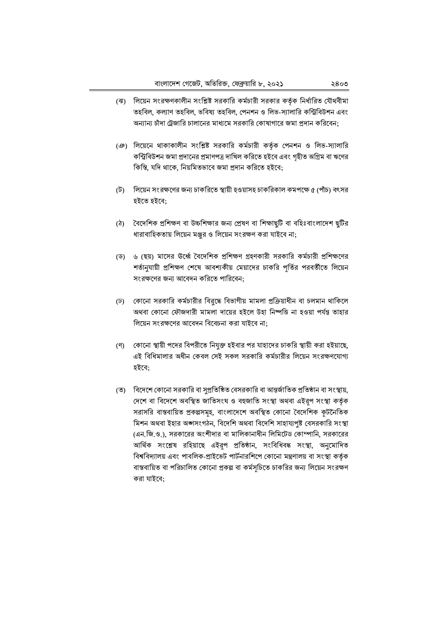- (ঝ) লিয়েন সংরক্ষণকালীন সংশ্লিষ্ট সরকারি কর্মচারী সরকার কর্তৃক নির্ধারিত যৌথবীমা তহবিল, কল্যাণ তহবিল, ভবিষ্য তহবিল, পেনশন ও লিভ-স্যালারি কন্ট্রিবিউশন এবং অন্যান্য চাঁদা ট্রেজারি চালানের মাধ্যমে সরকারি কোষাগারে জমা প্রদান করিবেন;
- (ঞ) লিয়েনে থাকাকালীন সংশ্লিষ্ট সরকারি কর্মচারী কর্তৃক পেনশন ও লিভ-স্যালারি কন্ট্রিবিউশন জমা প্রদানের প্রমাণপত্র দাখিল করিতে হইবে এবং গৃহীত অগ্রিম বা ঋণের কিস্তি, যদি থাকে, নিয়মিতভাবে জমা প্রদান করিতে হইবে;
- (ট) লিয়েন সংরক্ষণের জন্য চাকরিতে স্থায়ী হওয়াসহ চাকরিকাল কমপক্ষে ৫ (পাঁচ) বৎসর হইতে হইবে:
- (ঠ) বৈদেশিক প্রশিক্ষণ বা উচ্চশিক্ষার জন্য প্রেষণ বা শিক্ষাছুটি বা বহিঃবাংলাদেশ ছুটির ধারাবাহিকতায় লিয়েন মঞ্জুর ও লিয়েন সংরক্ষণ করা যাইবে না;
- (ড) ৬ (ছয়) মাসের উর্ধ্বে বৈদেশিক প্রশিক্ষণ গ্রহণকারী সরকারি কর্মচারী প্রশিক্ষণের শর্তানুযায়ী প্রশিক্ষণ শেষে আবশ্যকীয় মেয়াদের চাকরি পূর্তির পরবর্তীতে লিয়েন সংরক্ষণের জন্য আবেদন করিতে পারিবেন:
- (ঢ) কোনো সরকারি কর্মচারীর বিরুদ্ধে বিভাগীয় মামলা প্রক্রিয়াধীন বা চলমান থাকিলে অথবা কোনো ফৌজদারী মামলা দায়ের হইলে উহা নিষ্পত্তি না হওয়া পর্যন্ত তাহার লিয়েন সংরক্ষণের আবেদন বিবেচনা করা যাইবে না:
- (ণ) কোনো স্থায়ী পদের বিপরীতে নিযুক্ত হইবার পর যাহাদের চাকরি স্থায়ী করা হইয়াছে, এই বিধিমালার অধীন কেবল সেই সকল সরকারি কর্মচারীর লিয়েন সংরক্ষণযোগ্য হইবে:
- (ত) বিদেশে কোনো সরকারি বা সুপ্রতিষ্ঠিত বেসরকারি বা আন্তর্জাতিক প্রতিষ্ঠান বা সংস্থায়, দেশে বা বিদেশে অবস্থিত জাতিসংঘ ও বহুজাতি সংস্থা অথবা এইরূপ সংস্থা কর্তৃক সরাসরি বাস্তবায়িত প্রকল্পসমূহ, বাংলাদেশে অবস্থিত কোনো বৈদেশিক কূটনৈতিক মিশন অথবা ইহার অঙ্গসংগঠন, বিদেশি অথবা বিদেশি সাহায্যপৃষ্ট বেসরকারি সংস্থা (এন.জি.ও.), সরকারের অংশীদার বা মালিকানাধীন লিমিটেড কোম্পানি, সরকারের আৰ্থিক সংশ্লেষ রহিয়াছে এইরূপ প্রতিষ্ঠান, সংবিধিবদ্ধ সংস্থা, অনুমোদিত বিশ্ববিদ্যালয় এবং পাবলিক-প্রাইভেট পার্টনারশিপে কোনো মন্ত্রণালয় বা সংস্থা কর্তৃক বাস্তবায়িত বা পরিচালিত কোনো প্রকল্প বা কর্মসচিতে চাকরির জন্য লিয়েন সংরক্ষণ করা যাইবে;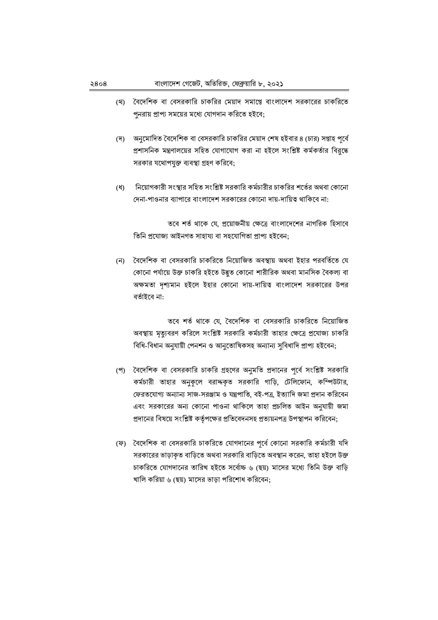- (থ) বৈদেশিক বা বেসরকারি চাকরির মেয়াদ সমাপ্তে বাংলাদেশ সরকারের চাকরিতে পুনরায় প্রাপ্য সময়ের মধ্যে যোগদান করিতে হইবে;
- (দ) অনুমোদিত বৈদেশিক বা বেসরকারি চাকরির মেয়াদ শেষ হইবার ৪ (চার) সপ্তাহ পূর্বে প্রশাসনিক মন্ত্রণালয়ের সহিত যোগাযোগ করা না হইলে সংশ্লিষ্ট কর্মকর্তার বিরদ্ধে সরকার যথোপযুক্ত ব্যবস্থা গ্রহণ করিবে;
- নিয়োগকারী সংস্থার সহিত সংশ্লিষ্ট সরকারি কর্মচারীর চাকরির শর্তের অথবা কোনো  $(\%)$ দেনা-পাওনার ব্যাপারে বাংলাদেশ সরকারের কোনো দায়-দায়িত্ব থাকিবে না:

তবে শর্ত থাকে যে, প্রয়োজনীয় ক্ষেত্রে বাংলাদেশের নাগরিক হিসাবে তিনি প্ৰযোজ্য আইনগত সাহায্য বা সহযোগিতা প্ৰাপ্য হইবেন;

(ন) বৈদেশিক বা বেসরকারি চাকরিতে নিয়োজিত অবস্থায় অথবা ইহার পরবর্তিতে যে কোনো পর্যায়ে উক্ত চাকরি হইতে উদ্ভূত কোনো শারীরিক অথবা মানসিক বৈকল্য বা অক্ষমতা দৃশ্যমান হইলে ইহার কোনো দায়-দায়িত্ব বাংলাদেশ সরকারের উপর বৰ্তাইবে না:

তবে শর্ত থাকে যে, বৈদেশিক বা বেসরকারি চাকরিতে নিয়োজিত অবস্থায় মৃত্যুবরণ করিলে সংশ্লিষ্ট সরকারি কর্মচারী তাহার ক্ষেত্রে প্রযোজ্য চাকরি বিধি-বিধান অনুযায়ী পেনশন ও আনুতোষিকসহ অন্যান্য সুবিধাদি প্ৰাপ্য হইবেন;

- (প) বৈদেশিক বা বেসরকারি চাকরি গ্রহণের অনুমতি প্রদানের পূর্বে সংশ্লিষ্ট সরকারি কর্মচারী তাহার অনুকূলে বরাদ্দকৃত সরকারি গাড়ি, টেলিফোন, কম্পিউটার, ফেরতযোগ্য অন্যান্য সাজ-সরঞ্জাম ও যন্ত্রপাতি, বই-পত্র, ইত্যাদি জমা প্রদান করিবেন এবং সরকারের অন্য কোনো পাওনা থাকিলে তাহা প্রচলিত আইন অনুযায়ী জমা প্রদানের বিষয়ে সংশ্লিষ্ট কর্তৃপক্ষের প্রতিবেদনসহ প্রত্যয়নপত্র উপস্থাপন করিবেন;
- (ফ) বৈদেশিক বা বেসরকারি চাকরিতে যোগদানের পূর্বে কোনো সরকারি কর্মচারী যদি সরকারের ভাড়াকৃত বাড়িতে অথবা সরকারি বাড়িতে অবস্থান করেন, তাহা হইলে উক্ত চাকরিতে যোগদানের তারিখ হইতে সর্বোচ্চ ৬ (ছয়) মাসের মধ্যে তিনি উক্ত বাড়ি খালি করিয়া ৬ (ছয়) মাসের ভাড়া পরিশোধ করিবেন;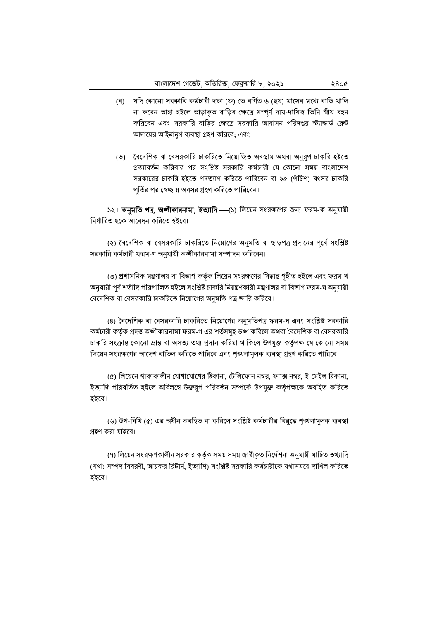- (ব) যদি কোনো সরকারি কর্মচারী দফা (ফ) তে বর্ণিত ৬ (ছয়) মাসের মধ্যে বাড়ি খালি না করেন তাহা হইলে ভাড়াকৃত বাড়ির ক্ষেত্রে সম্পূর্ণ দায়-দায়িত্ব তিনি স্বীয় বহন করিবেন এবং সরকারি বাড়ির ক্ষেত্রে সরকারি আবাসন পরিদপ্তর স্ট্যান্ডার্ড রেন্ট আদায়ের আইনানুগ ব্যবস্থা গ্রহণ করিবে; এবং
- (ভ) বৈদেশিক বা বেসরকারি চাকরিতে নিয়োজিত অবস্থায় অথবা অনুরূপ চাকরি হইতে প্রত্যাবর্তন করিবার পর সংশ্লিষ্ট সরকারি কর্মচারী যে কোনো সময় বাংলাদেশ সরকারের চাকরি হইতে পদত্যাগ করিতে পারিবেন বা ২৫ (পঁচিশ) বৎসর চাকরি পর্তির পর স্বেচ্ছায় অবসর গ্রহণ করিতে পারিবেন।

১২। অনুমতি পত্র, অজীকারনামা, ইত্যাদি। (১) লিয়েন সংরক্ষণের জন্য ফরম-ক অনুযায়ী নিৰ্ধারিত ছকে আবেদন করিতে হইবে।

(২) বৈদেশিক বা বেসরকারি চাকরিতে নিয়োগের অনুমতি বা ছাড়পত্র প্রদানের পূর্বে সংশ্লিষ্ট সরকারি কর্মচারী ফরম-গ অনুযায়ী অঙ্গীকারনামা সম্পাদন করিবেন।

(৩) প্রশাসনিক মন্ত্রণালয় বা বিভাগ কর্তৃক লিয়েন সংরক্ষণের সিদ্ধান্ত গৃহীত হইলে এবং ফরম-খ অনুযায়ী পূর্ব শর্তাদি পরিপালিত হইলে সংশ্লিষ্ট চাকরি নিয়ন্ত্রণকারী মন্ত্রণালয় বা বিভাগ ফরম-ঘ অনুযায়ী বৈদেশিক বা বেসরকারি চাকরিতে নিয়োগের অনুমতি পত্র জারি করিবে।

(৪) বৈদেশিক বা বেসরকারি চাকরিতে নিয়োগের অনুমতিপত্র ফরম-ঘ এবং সংশ্লিষ্ট সরকারি কর্মচারী কর্তৃক প্রদত্ত অঙ্গীকারনামা ফরম-গ এর শর্তসমূহ ভঙ্গ করিলে অথবা বৈদেশিক বা বেসরকারি চাকরি সংক্রান্ত কোনো দ্রান্ত বা অসত্য তথ্য প্রদান করিয়া থাকিলে উপযুক্ত কর্তৃপক্ষ যে কোনো সময় লিয়েন সংরক্ষণের আদেশ বাতিল করিতে পারিবে এবং শৃঙ্খলামূলক ব্যবস্থা গ্রহণ করিতে পারিবে।

(৫) লিয়েনে থাকাকালীন যোগাযোগের ঠিকানা, টেলিফোন নম্বর, ফ্যাক্স নম্বর, ই-মেইল ঠিকানা, ইত্যাদি পরিবর্তিত হইলে অবিলম্বে উক্তরূপ পরিবর্তন সম্পর্কে উপযুক্ত কর্তৃপক্ষকে অবহিত করিতে হইবে।

(৬) উপ-বিধি (৫) এর অধীন অবহিত না করিলে সংশ্লিষ্ট কর্মচারীর বিরুদ্ধে শঙ্খলামূলক ব্যবস্থা গ্রহণ করা যাইবে।

(৭) লিয়েন সংরক্ষণকালীন সরকার কর্তৃক সময় সময় জারীকৃত নির্দেশনা অনুযায়ী যাচিত তথ্যাদি (যথা: সম্পদ বিবরণী, আয়কর রিটার্ন, ইত্যাদি) সংশ্লিষ্ট সরকারি কর্মচারীকে যথাসময়ে দাখিল করিতে হইবে।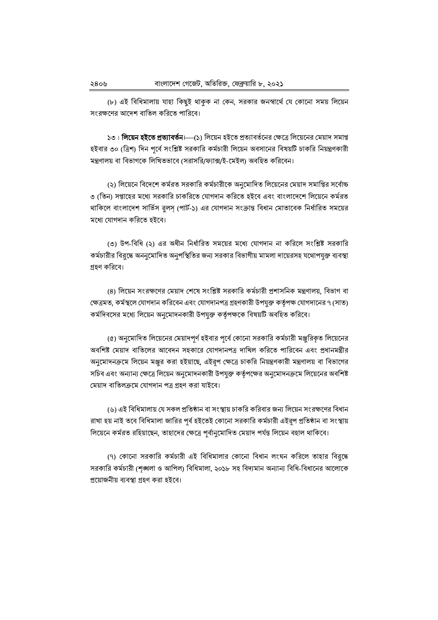(৮) এই বিধিমালায় যাহা কিছুই থাকুক না কেন, সরকার জনস্বার্থে যে কোনো সময় লিয়েন সংরক্ষণের আদেশ বাতিল করিতে পারিবে।

১৩। **লিয়েন হইতে প্রত্যাবর্তন**।—(১) লিয়েন হইতে প্রত্যাবর্তনের ক্ষেত্রে লিয়েনের মেয়াদ সমাপ্ত হইবার ৩০ (ত্রিশ) দিন পর্বে সংশ্লিষ্ট সরকারি কর্মচারী লিয়েন অবসানের বিষয়টি চাকরি নিয়ন্ত্রণকারী মন্ত্রণালয় বা বিভাগকে লিখিতভাবে (সরাসরি/ফ্যাক্স/ই-মেইল) অবহিত করিবেন।

(২) লিয়েনে বিদেশে কর্মরত সরকারি কর্মচারীকে অনুমোদিত লিয়েনের মেয়াদ সমাপ্তির সর্বোচ্চ ৩ (তিন) সপ্তাহের মধ্যে সরকারি চাকরিতে যোগদান করিতে হইবে এবং বাংলাদেশে লিয়েনে কর্মরত থাকিলে বাংলাদেশ সার্ভিস রলস (পার্ট-১) এর যোগদান সংক্রান্ত বিধান মোতাবেক নির্ধারিত সময়ের মধ্যে যোগদান করিতে হইবে।

(৩) উপ-বিধি (২) এর অধীন নির্ধারিত সময়ের মধ্যে যোগদান না করিলে সংশ্লিষ্ট সরকারি কর্মচারীর বিরুদ্ধে অননুমোদিত অনুপস্থিতির জন্য সরকার বিভাগীয় মামলা দায়েরসহ যথোপযুক্ত ব্যবস্থা গ্রহণ করিবে।

(৪) লিয়েন সংরক্ষণের মেয়াদ শেষে সংশ্লিষ্ট সরকারি কর্মচারী প্রশাসনিক মন্ত্রণালয়, বিভাগ বা ক্ষেত্রমত, কর্মস্থলে যোগদান করিবেন এবং যোগদানপত্র গ্রহণকারী উপযুক্ত কর্তৃপক্ষ যোগদানের ৭ (সাত) কর্মদিবসের মধ্যে লিয়েন অনুমোদনকারী উপযুক্ত কর্তৃপক্ষকে বিষয়টি অবহিত করিবে।

(৫) অনুমোদিত লিয়েনের মেয়াদপর্ণ হইবার পর্বে কোনো সরকারি কর্মচারী মঞ্জরিকত লিয়েনের অবশিষ্ট মেয়াদ বাতিলের আবেদন সহকারে যোগদানপত্র দাখিল করিতে পারিবেন এবং প্রধানমন্ত্রীর অনুমোদনক্রমে লিয়েন মঞ্জর করা হইয়াছে, এইরূপ ক্ষেত্রে চাকরি নিয়ন্ত্রণকারী মন্ত্রণালয় বা বিভাগের সচিব এবং অন্যান্য ক্ষেত্রে লিয়েন অনুমোদনকারী উপযুক্ত কর্তৃপক্ষের অনুমোদনক্রমে লিয়েনের অবশিষ্ট মেয়াদ বাতিলক্ৰমে যোগদান পত্ৰ গ্ৰহণ করা যাইবে।

(৬) এই বিধিমালায় যে সকল প্রতিষ্ঠান বা সংস্থায় চাকরি করিবার জন্য লিয়েন সংরক্ষণের বিধান রাখা হয় নাই তবে বিধিমালা জারির পর্ব হইতেই কোনো সরকারি কর্মচারী এইরূপ প্রতিষ্ঠান বা সংস্থায় লিয়েনে কর্মরত রহিয়াছেন, তাহাদের ক্ষেত্রে পূর্বানুমোদিত মেয়াদ পর্যন্ত লিয়েন বহাল থাকিবে।

(৭) কোনো সরকারি কর্মচারী এই বিধিমালার কোনো বিধান লংঘন করিলে তাহার বিরুদ্ধে সরকারি কর্মচারী (শৃঙ্খলা ও আপিল) বিধিমালা, ২০১৮ সহ বিদ্যমান অন্যান্য বিধি-বিধানের আলোকে প্রয়োজনীয় ব্যবস্থা গ্রহণ করা হইবে।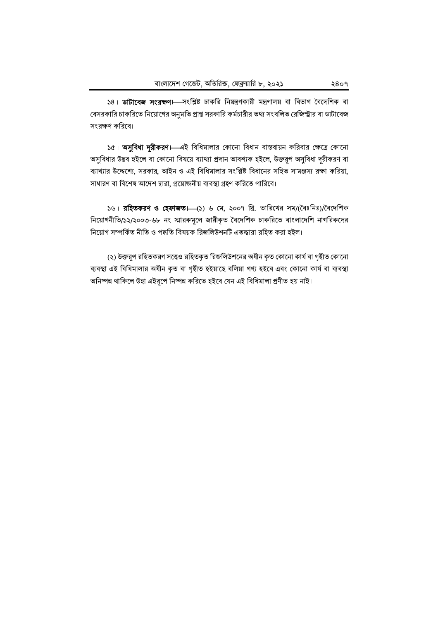১৪। ডাটাবেজ সংরক্ষণ। সংশ্লিষ্ট চাকরি নিয়ন্ত্রণকারী মন্ত্রণালয় বা বিভাগ বৈদেশিক বা বেসরকারি চাকরিতে নিয়োগের অনুমতি প্রাপ্ত সরকারি কর্মচারীর তথ্য সংবলিত রেজিস্ট্রার বা ডাটাবেজ সংরক্ষণ করিবে।

১৫। अসুবিধা দুরীকরণ। এই বিধিমালার কোনো বিধান বাস্তবায়ন করিবার ক্ষেত্রে কোনো অসুবিধার উদ্ভব হইলে বা কোনো বিষয়ে ব্যাখ্যা প্রদান আবশ্যক হইলে, উক্তরূপ অসুবিধা দরীকরণ বা ব্যাখ্যার উদ্দেশ্যে, সরকার, আইন ও এই বিধিমালার সংশ্লিষ্ট বিধানের সহিত সামঞ্জস্য রক্ষা করিয়া, সাধারণ বা বিশেষ আদেশ দ্বারা, প্রয়োজনীয় ব্যবস্থা গ্রহণ করিতে পারিবে।

১৬। **রহিতকরণ ও হেফাজত।---**(১) ৬ মে, ২০০৭ খ্রি, তারিখের সম/(বৈঃনিঃ)/বৈদেশিক নিয়োগনীতি/১২/২০০৩-৬৮ নং স্মারকমূলে জারীকৃত বৈদেশিক চাকরিতে বাংলাদেশি নাগরিকদের নিয়োগ সম্পর্কিত নীতি ও পদ্ধতি বিষয়ক রিজলিউশনটি এতদ্দারা রহিত করা হইল।

(২) উক্তরূপ রহিতকরণ সত্ত্বেও রহিতকৃত রিজলিউশনের অধীন কৃত কোনো কার্য বা গৃহীত কোনো ব্যবস্থা এই বিধিমালার অধীন কৃত বা গৃহীত হইয়াছে বলিয়া গণ্য হইবে এবং কোনো কার্য বা ব্যবস্থা অনিষ্পন্ন থাকিলে উহা এইরূপে নিষ্পন্ন করিতে হইবে যেন এই বিধিমালা প্রণীত হয় নাই।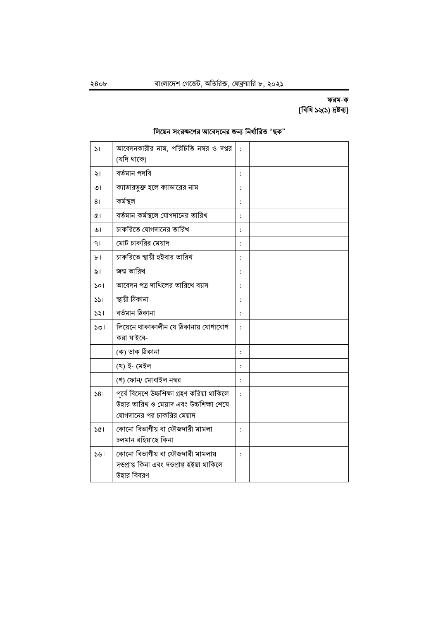## ফরম-ক [বিধি ১২(১) দ্ৰষ্টব্য]

### লিয়েন সংরক্ষণের আবেদনের জন্য নির্ধারিত "ছক"

| $\mathcal{L}$ | আবেদনকারীর নাম, পরিচিতি নম্বর ও দপ্তর<br>(যদি থাকে)                                                                  | $\ddot{\cdot}$ |  |
|---------------|----------------------------------------------------------------------------------------------------------------------|----------------|--|
| ২।            | বৰ্তমান পদবি                                                                                                         | $\ddot{\cdot}$ |  |
| ৩।            | ক্যাডারভুক্ত হলে ক্যাডারের নাম                                                                                       | :              |  |
| 81            | কৰ্মস্থল                                                                                                             | :              |  |
| Q1            | বর্তমান কর্মস্থলে যোগদানের তারিখ                                                                                     | :              |  |
| ৬।            | চাকরিতে যোগদানের তারিখ                                                                                               | $\ddot{\cdot}$ |  |
| 91            | মোট চাকরির মেয়াদ                                                                                                    | $\ddot{\cdot}$ |  |
| ЪI            | চাকরিতে স্থায়ী হইবার তারিখ                                                                                          | $\ddot{\cdot}$ |  |
| ৯।            | জন্ম তারিখ                                                                                                           | :              |  |
| $\mathsf{S}$  | আবেদন পত্র দাখিলের তারিখে বয়স                                                                                       | $\ddot{\cdot}$ |  |
| 331           | স্থায়ী ঠিকানা                                                                                                       | $\vdots$       |  |
| 321           | বৰ্তমান ঠিকানা                                                                                                       | $\ddot{\cdot}$ |  |
| ১৩।           | লিয়েনে থাকাকালীন যে ঠিকানায় যোগাযোগ<br>করা যাইবে-                                                                  | $\ddot{\cdot}$ |  |
|               | (ক) ডাক ঠিকানা                                                                                                       | $\ddot{\cdot}$ |  |
|               | (খ) ই- মেইল                                                                                                          | $\vdots$       |  |
|               | (গ) ফোন/ মোবাইল নম্বর                                                                                                | $\ddot{\cdot}$ |  |
| 381           | পূৰ্বে বিদেশে উচ্চশিক্ষা গ্ৰহণ করিয়া থাকিলে<br>উহার তারিখ ও মেয়াদ এবং উচ্চশিক্ষা শেষে<br>যোগদানের পর চাকরির মেয়াদ | $\ddot{\cdot}$ |  |
| 361           | কোনো বিভাগীয় বা ফৌজদারী মামলা<br>চলমান রহিয়াছে কিনা                                                                | $\ddot{\cdot}$ |  |
| 541           | কোনো বিভাগীয় বা ফৌজদারী মামলায়<br>দঙ্গ্রাপ্ত কিনা এবং দঙ্গ্রাপ্ত হইয়া থাকিলে<br>উহার বিবরণ                        | $\ddot{\cdot}$ |  |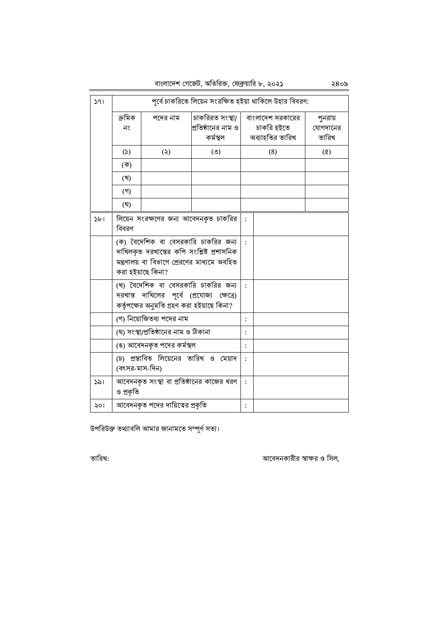বাংলাদেশ গেজেট, অতিরিক্ত, ফেব্রুয়ারি ৮, ২০২১ ২৪০৯

| 391            | পূর্বে চাকরিতে লিয়েন সংরক্ষিত হইয়া থাকিলে উহার বিবরণ:                                                                                   |                                                                                                                                                        |                                                   |                      |                                                   |                              |
|----------------|-------------------------------------------------------------------------------------------------------------------------------------------|--------------------------------------------------------------------------------------------------------------------------------------------------------|---------------------------------------------------|----------------------|---------------------------------------------------|------------------------------|
|                | ক্ৰমিক<br>নং                                                                                                                              | পদের নাম                                                                                                                                               | চাকরিরত সংস্থা/<br>প্রতিষ্ঠানের নাম ও<br>কৰ্মস্থল |                      | বাংলাদেশ সরকারের<br>চাকরি হইতে<br>অব্যাহতির তারিখ | পুনরায়<br>যোগদানের<br>তারিখ |
|                | (5)                                                                                                                                       | (5)                                                                                                                                                    | (5)                                               |                      | (8)                                               | $(\delta)$                   |
|                | (ক)                                                                                                                                       |                                                                                                                                                        |                                                   |                      |                                                   |                              |
|                | (খ)                                                                                                                                       |                                                                                                                                                        |                                                   |                      |                                                   |                              |
|                | (গ)                                                                                                                                       |                                                                                                                                                        |                                                   |                      |                                                   |                              |
|                | (ঘৃ)                                                                                                                                      |                                                                                                                                                        |                                                   |                      |                                                   |                              |
| 5 <sub>b</sub> | বিবরণ                                                                                                                                     | লিয়েন সংরক্ষণের জন্য আবেদনকৃত চাকরির                                                                                                                  |                                                   | $\ddot{\phantom{a}}$ |                                                   |                              |
|                |                                                                                                                                           | (ক) বৈদেশিক বা বেসরকারি চাকরির জন্য<br>দাখিলকৃত দরখান্তের কপি সংশ্লিষ্ট প্রশাসনিক<br>মন্ত্রণালয় বা বিভাগে প্রেরণের মাধ্যমে অবহিত<br>করা হইয়াছে কিনা? |                                                   |                      |                                                   |                              |
|                | (খ) বৈদেশিক বা বেসরকারি চাকরির জন্য<br>$\cdot$<br>দরখাস্ত দাখিলের পর্বে (প্রযোজ্য ক্ষেত্রে)<br>কর্তৃপক্ষের অনুমতি গ্রহণ করা হইয়াছে কিনা? |                                                                                                                                                        |                                                   |                      |                                                   |                              |
|                | (গ) নিয়োজিতব্য পদের নাম                                                                                                                  |                                                                                                                                                        |                                                   | $\vdots$             |                                                   |                              |
|                | (ঘ) সংস্থা/প্রতিষ্ঠানের নাম ও ঠিকানা                                                                                                      |                                                                                                                                                        |                                                   | $\ddot{\cdot}$       |                                                   |                              |
|                |                                                                                                                                           | (ঙ) আবেদনকৃত পদের কর্মস্থল                                                                                                                             |                                                   | $\ddot{\cdot}$       |                                                   |                              |
|                | (বৎসর-মাস-দিন)                                                                                                                            | (চ) প্রস্তাবিত লিয়েনের তারিখ ও মেয়াদ                                                                                                                 |                                                   | $\mathbf{.}$         |                                                   |                              |
| 321            | ও প্রকৃতি                                                                                                                                 | আবেদনকৃত সংস্থা বা প্রতিষ্ঠানের কাজের ধরণ                                                                                                              |                                                   | $\cdot$              |                                                   |                              |
| ২০।            |                                                                                                                                           | আবেদনকৃত পদের দায়িত্বের প্রকৃতি                                                                                                                       |                                                   | $\ddot{\cdot}$       |                                                   |                              |

উপরিউক্ত তথ্যাবলি আমার জানামতে সম্পূর্ণ সত্য।

আবেদনকারীর স্বাক্ষর ও সিল,

তারিখ: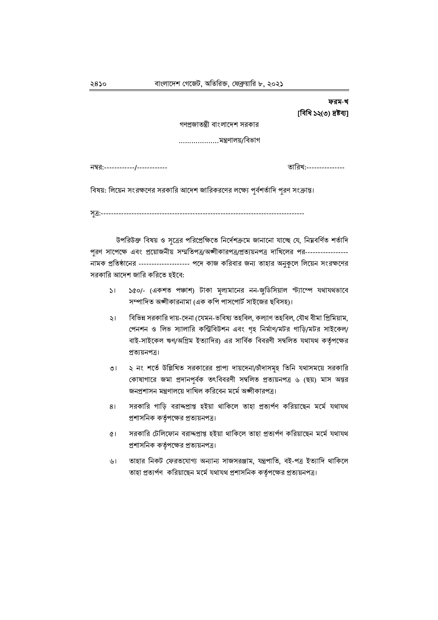# ফরম-খ [বিধি ১২(৩) দ্ৰষ্টব্য]

গণপ্রজাতন্ত্রী বাংলাদেশ সরকার

নম্বর:------------/------------

তারিখ:---------------

বিষয়: লিয়েন সংরক্ষণের সরকারি আদেশ জারিকরণের লক্ষ্যে পূর্বশর্তাদি পূরণ সংক্রান্ত।

সূত্র:--------------------------

উপরিউক্ত বিষয় ও সূত্রের পরিপ্রেক্ষিতে নির্দেশক্রমে জানানো যাচ্ছে যে, নিয়বর্ণিত শর্তাদি পূরণ সাপেক্ষে এবং প্রয়োজনীয় সম্মতিপত্র/অঙ্গীকারপত্র/প্রত্যয়নপত্র দাখিলের পর----------------নামক প্রতিষ্ঠানের ------------------- পদে কাজ করিবার জন্য তাহার অনুকলে লিয়েন সংরক্ষণের সরকারি আদেশ জারি করিতে হইবে:

- ১৫০/- (একশত পঞ্চাশ) টাকা মূল্যমানের নন-জুডিসিয়াল স্ট্যাম্পে যথাযথভাবে  $\mathcal{L}$ সম্পাদিত অঙ্গীকারনামা (এক কপি পাসপোর্ট সাইজের ছবিসহ)।
- বিভিন্ন সরকারি দায়-দেনা (যেমন-ভবিষ্য তহবিল, কল্যাণ তহবিল, যৌথ বীমা প্রিমিয়াম, ২৷ পেনশন ও লিভ স্যালারি কন্ট্রিবিউশন এবং গৃহ নির্মাণ/মটর গাড়ি/মটর সাইকেল/ বাই-সাইকেল ঋণ/অগ্রিম ইত্যাদির) এর সার্বিক বিবরণী সম্বলিত যথাযথ কর্তৃপক্ষের প্ৰত্যয়নপত্ৰ।
- ২ নং শর্তে উল্লিখিত সরকারের প্রাপ্য দায়দেনা/চাঁদাসমূহ তিনি যথাসময়ে সরকারি ৩৷ কোষাগারে জমা প্রদানপূর্বক তৎবিবরণী সম্বলিত প্রত্যয়নপত্র ৬ (ছয়) মাস অন্তর জনপ্রশাসন মন্ত্রণালয়ে দাখিল করিবেন মর্মে অঙ্গীকারপত্র।
- সরকারি গাড়ি বরাদ্প্রাপ্ত হইয়া থাকিলে তাহা প্রত্যর্পণ করিয়াছেন মর্মে যথাযথ  $81$ প্রশাসনিক কর্তৃপক্ষের প্রত্যয়নপত্র।
- সরকারি টেলিফোন বরাদ্দপ্রাপ্ত হইয়া থাকিলে তাহা প্রত্যর্পণ করিয়াছেন মর্মে যথাযথ  $\alpha$ প্রশাসনিক কর্তৃপক্ষের প্রত্যয়নপত্র।
- তাহার নিকট ফেরতযোগ্য অন্যান্য সাজসরঞ্জাম, যন্ত্রপাতি, বই-পত্র ইত্যাদি থাকিলে  $\mathcal{V}$ তাহা প্রত্যর্পণ করিয়াছেন মর্মে যথাযথ প্রশাসনিক কর্তৃপক্ষের প্রত্যয়নপত্র।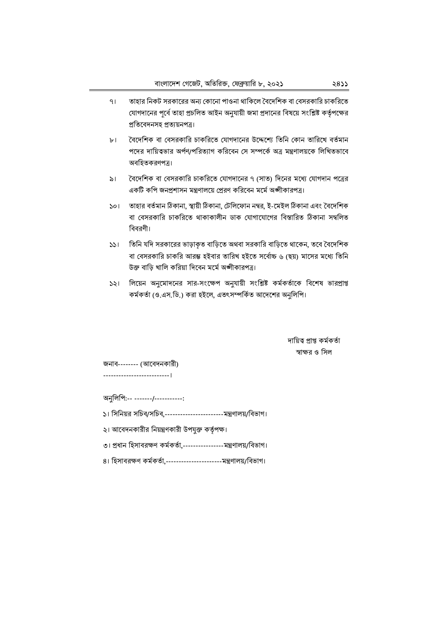- তাহার নিকট সরকারের অন্য কোনো পাওনা থাকিলে বৈদেশিক বা বেসরকারি চাকরিতে  $91$ যোগদানের পূর্বে তাহা প্রচলিত আইন অনুযায়ী জমা প্রদানের বিষয়ে সংশ্লিষ্ট কর্তৃপক্ষের প্ৰতিবেদনসহ প্ৰত্যয়নপত্ৰ।
- বৈদেশিক বা বেসরকারি চাকরিতে যোগদানের উদ্দেশ্যে তিনি কোন তারিখে বর্তমান  $\mathbf{b}$ পদের দায়িত্বভার অর্পণ/পরিত্যাগ করিবেন সে সম্পর্কে অত্র মন্ত্রণালয়কে লিখিতভাবে অবহিতকরণপত্র।
- বৈদেশিক বা বেসরকারি চাকরিতে যোগদানের ৭ (সাত) দিনের মধ্যে যোগদান পত্রের ৯। একটি কপি জনপ্রশাসন মন্ত্রণালয়ে প্রেরণ করিবেন মর্মে অঙ্গীকারপত্র।
- তাহার বর্তমান ঠিকানা, স্থায়ী ঠিকানা, টেলিফোন নম্বর, ই-মেইল ঠিকানা এবং বৈদেশিক  $501$ বা বেসরকারি চাকরিতে থাকাকালীন ডাক যোগাযোগের বিস্তারিত ঠিকানা সম্বলিত বিবরণী।
- তিনি যদি সরকারের ভাড়াকৃত বাড়িতে অথবা সরকারি বাড়িতে থাকেন, তবে বৈদেশিক  $351 -$ বা বেসরকারি চাকরি আরম্ভ হইবার তারিখ হইতে সর্বোচ্চ ৬ (ছয়) মাসের মধ্যে তিনি উক্ত বাড়ি খালি করিয়া দিবেন মর্মে অঙ্গীকারপত্র।
- ১২। লিয়েন অনুমোদনের সার-সংক্ষেপ অনুযায়ী সংশ্লিষ্ট কর্মকর্তাকে বিশেষ ভারপ্রাপ্ত কর্মকর্তা (ও.এস.ডি.) করা হইলে, এতৎসম্পর্কিত আদেশের অনুলিপি।

দায়িত্ব প্ৰাপ্ত কৰ্মকৰ্তা স্মাক্ষর ও সিল

জনাব------- (আবেদনকারী)

অনুলিপি:-- -------/-----------:

- ১। সিনিয়র সচিব/সচিব,-----------------------মন্ত্রণালয়/বিভাগ।
- ২। আবেদনকারীর নিয়ন্ত্রণকারী উপযুক্ত কর্তৃপক্ষ।
- ৩। প্রধান হিসাবরক্ষণ কর্মকর্তা,-----------------মন্ত্রণালয়/বিভাগ।
- ৪। হিসাবরক্ষণ কর্মকর্তা,------------------------মন্ত্রণালয়/বিভাগ।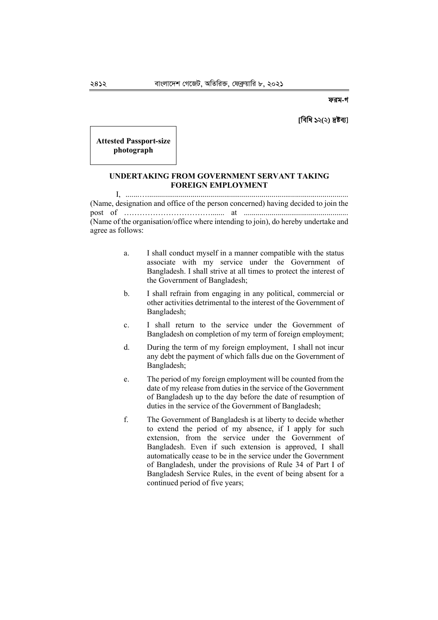#### ফরম-গ

#### [বিধি ১২(২) দ্ৰষ্টব্য]

**Attested Passport-size photograph** 

### **UNDERTAKING FROM GOVERNMENT SERVANT TAKING FOREIGN EMPLOYMENT**

I, .......…...................................................................................................... (Name, designation and office of the person concerned) having decided to join the post of ……………………………....... at ..................................................... (Name of the organisation/office where intending to join), do hereby undertake and agree as follows:

- a. I shall conduct myself in a manner compatible with the status associate with my service under the Government of Bangladesh. I shall strive at all times to protect the interest of the Government of Bangladesh;
- b. I shall refrain from engaging in any political, commercial or other activities detrimental to the interest of the Government of Bangladesh;
- c. I shall return to the service under the Government of Bangladesh on completion of my term of foreign employment;
- d. During the term of my foreign employment, I shall not incur any debt the payment of which falls due on the Government of Bangladesh;
- e. The period of my foreign employment will be counted from the date of my release from duties in the service of the Government of Bangladesh up to the day before the date of resumption of duties in the service of the Government of Bangladesh;
- f. The Government of Bangladesh is at liberty to decide whether to extend the period of my absence, if I apply for such extension, from the service under the Government of Bangladesh. Even if such extension is approved, I shall automatically cease to be in the service under the Government of Bangladesh, under the provisions of Rule 34 of Part I of Bangladesh Service Rules, in the event of being absent for a continued period of five years;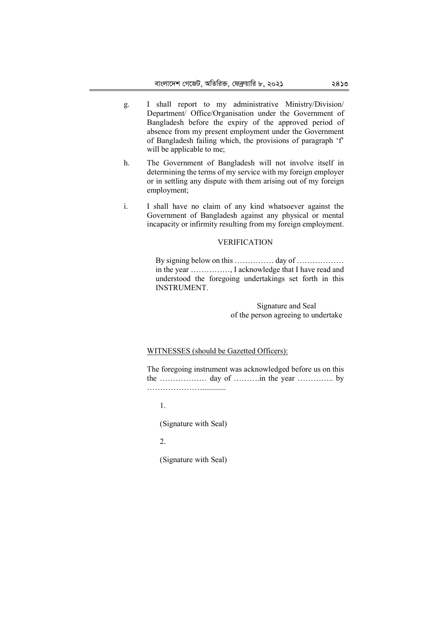- g. I shall report to my administrative Ministry/Division/ Department/ Office/Organisation under the Government of Bangladesh before the expiry of the approved period of absence from my present employment under the Government of Bangladesh failing which, the provisions of paragraph 'f' will be applicable to me;
- h. The Government of Bangladesh will not involve itself in determining the terms of my service with my foreign employer or in settling any dispute with them arising out of my foreign employment;
- i. I shall have no claim of any kind whatsoever against the Government of Bangladesh against any physical or mental incapacity or infirmity resulting from my foreign employment.

#### VERIFICATION

By signing below on this …………… day of ……………… in the year ……………, I acknowledge that I have read and understood the foregoing undertakings set forth in this INSTRUMENT.

> Signature and Seal of the person agreeing to undertake

#### WITNESSES (should be Gazetted Officers):

The foregoing instrument was acknowledged before us on this the ……………… day of ……….in the year ………….. by …………………............

1.

(Signature with Seal)

 $\mathcal{L}$ 

(Signature with Seal)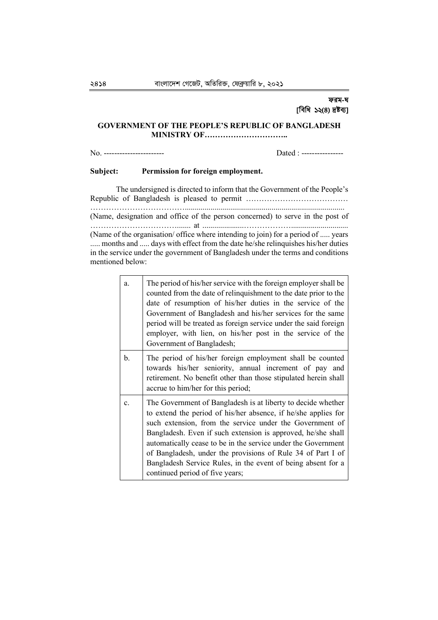### ফরম-ঘ [বিধি ১২(৪) দ্রষ্টব্য]

### **GOVERNMENT OF THE PEOPLE'S REPUBLIC OF BANGLADESH MINISTRY OF…………………………..**

No. ----------------------- Dated : ----------------

#### **Subject: Permission for foreign employment.**

The undersigned is directed to inform that the Government of the People's Republic of Bangladesh is pleased to permit ………………………………… ………………………………................................................................................. (Name, designation and office of the person concerned) to serve in the post of

……………………………....... at .....................………………............................. (Name of the organisation/ office where intending to join) for a period of ..... years ..... months and ..... days with effect from the date he/she relinquishes his/her duties in the service under the government of Bangladesh under the terms and conditions mentioned below:

| a. | The period of his/her service with the foreign employer shall be<br>counted from the date of relinquishment to the date prior to the<br>date of resumption of his/her duties in the service of the<br>Government of Bangladesh and his/her services for the same<br>period will be treated as foreign service under the said foreign<br>employer, with lien, on his/her post in the service of the<br>Government of Bangladesh;                                                               |
|----|-----------------------------------------------------------------------------------------------------------------------------------------------------------------------------------------------------------------------------------------------------------------------------------------------------------------------------------------------------------------------------------------------------------------------------------------------------------------------------------------------|
| b. | The period of his/her foreign employment shall be counted<br>towards his/her seniority, annual increment of pay and<br>retirement. No benefit other than those stipulated herein shall<br>accrue to him/her for this period;                                                                                                                                                                                                                                                                  |
| c. | The Government of Bangladesh is at liberty to decide whether<br>to extend the period of his/her absence, if he/she applies for<br>such extension, from the service under the Government of<br>Bangladesh. Even if such extension is approved, he/she shall<br>automatically cease to be in the service under the Government<br>of Bangladesh, under the provisions of Rule 34 of Part I of<br>Bangladesh Service Rules, in the event of being absent for a<br>continued period of five years; |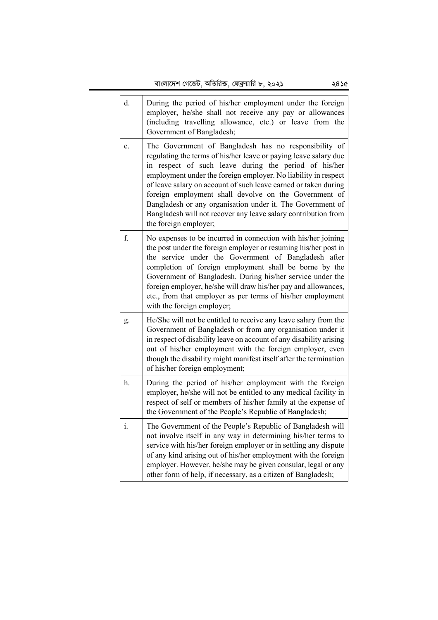| d. | During the period of his/her employment under the foreign<br>employer, he/she shall not receive any pay or allowances<br>(including travelling allowance, etc.) or leave from the<br>Government of Bangladesh;                                                                                                                                                                                                                                                                                                                            |
|----|-------------------------------------------------------------------------------------------------------------------------------------------------------------------------------------------------------------------------------------------------------------------------------------------------------------------------------------------------------------------------------------------------------------------------------------------------------------------------------------------------------------------------------------------|
| e. | The Government of Bangladesh has no responsibility of<br>regulating the terms of his/her leave or paying leave salary due<br>in respect of such leave during the period of his/her<br>employment under the foreign employer. No liability in respect<br>of leave salary on account of such leave earned or taken during<br>foreign employment shall devolve on the Government of<br>Bangladesh or any organisation under it. The Government of<br>Bangladesh will not recover any leave salary contribution from<br>the foreign employer; |
| f. | No expenses to be incurred in connection with his/her joining<br>the post under the foreign employer or resuming his/her post in<br>the service under the Government of Bangladesh after<br>completion of foreign employment shall be borne by the<br>Government of Bangladesh. During his/her service under the<br>foreign employer, he/she will draw his/her pay and allowances,<br>etc., from that employer as per terms of his/her employment<br>with the foreign employer;                                                           |
| g. | He/She will not be entitled to receive any leave salary from the<br>Government of Bangladesh or from any organisation under it<br>in respect of disability leave on account of any disability arising<br>out of his/her employment with the foreign employer, even<br>though the disability might manifest itself after the termination<br>of his/her foreign employment;                                                                                                                                                                 |
| h. | During the period of his/her employment with the foreign<br>employer, he/she will not be entitled to any medical facility in<br>respect of self or members of his/her family at the expense of<br>the Government of the People's Republic of Bangladesh;                                                                                                                                                                                                                                                                                  |
| i. | The Government of the People's Republic of Bangladesh will<br>not involve itself in any way in determining his/her terms to<br>service with his/her foreign employer or in settling any dispute<br>of any kind arising out of his/her employment with the foreign<br>employer. However, he/she may be given consular, legal or any<br>other form of help, if necessary, as a citizen of Bangladesh;                                                                                                                                       |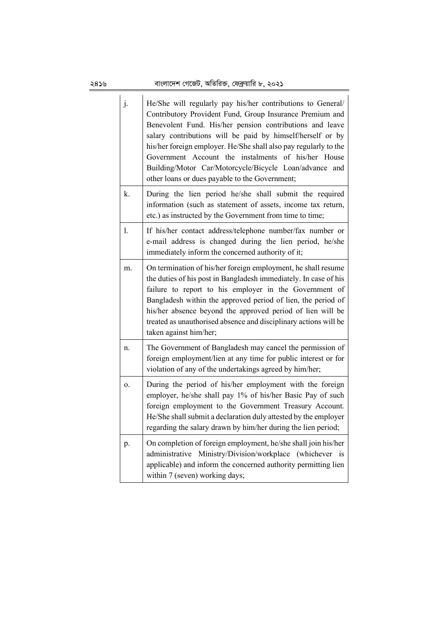| j.             | He/She will regularly pay his/her contributions to General/<br>Contributory Provident Fund, Group Insurance Premium and<br>Benevolent Fund. His/her pension contributions and leave<br>salary contributions will be paid by himself/herself or by<br>his/her foreign employer. He/She shall also pay regularly to the<br>Government Account the instalments of his/her House<br>Building/Motor Car/Motorcycle/Bicycle Loan/advance and<br>other loans or dues payable to the Government; |
|----------------|------------------------------------------------------------------------------------------------------------------------------------------------------------------------------------------------------------------------------------------------------------------------------------------------------------------------------------------------------------------------------------------------------------------------------------------------------------------------------------------|
| k.             | During the lien period he/she shall submit the required<br>information (such as statement of assets, income tax return,<br>etc.) as instructed by the Government from time to time;                                                                                                                                                                                                                                                                                                      |
| $\mathbf{1}$ . | If his/her contact address/telephone number/fax number or<br>e-mail address is changed during the lien period, he/she<br>immediately inform the concerned authority of it;                                                                                                                                                                                                                                                                                                               |
| m.             | On termination of his/her foreign employment, he shall resume<br>the duties of his post in Bangladesh immediately. In case of his<br>failure to report to his employer in the Government of<br>Bangladesh within the approved period of lien, the period of<br>his/her absence beyond the approved period of lien will be<br>treated as unauthorised absence and disciplinary actions will be<br>taken against him/her;                                                                  |
| n.             | The Government of Bangladesh may cancel the permission of<br>foreign employment/lien at any time for public interest or for<br>violation of any of the undertakings agreed by him/her;                                                                                                                                                                                                                                                                                                   |
| 0.             | During the period of his/her employment with the foreign<br>employer, he/she shall pay 1% of his/her Basic Pay of such<br>foreign employment to the Government Treasury Account.<br>He/She shall submit a declaration duly attested by the employer<br>regarding the salary drawn by him/her during the lien period;                                                                                                                                                                     |
| p.             | On completion of foreign employment, he/she shall join his/her<br>administrative Ministry/Division/workplace (whichever is<br>applicable) and inform the concerned authority permitting lien<br>within 7 (seven) working days;                                                                                                                                                                                                                                                           |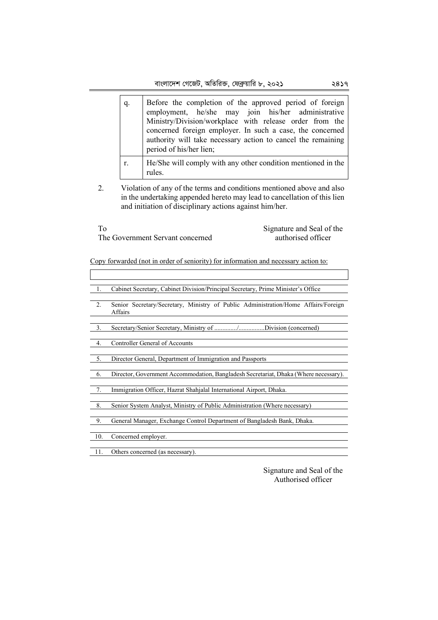| q. | Before the completion of the approved period of foreign<br>employment, he/she may join his/her administrative<br>Ministry/Division/workplace with release order from the<br>concerned foreign employer. In such a case, the concerned<br>authority will take necessary action to cancel the remaining<br>period of his/her lien; |
|----|----------------------------------------------------------------------------------------------------------------------------------------------------------------------------------------------------------------------------------------------------------------------------------------------------------------------------------|
| r. | He/She will comply with any other condition mentioned in the<br>rules                                                                                                                                                                                                                                                            |

2. Violation of any of the terms and conditions mentioned above and also in the undertaking appended hereto may lead to cancellation of this lien and initiation of disciplinary actions against him/her.

To The Government Servant concerned Signature and Seal of the authorised officer

Copy forwarded (not in order of seniority) for information and necessary action to:

| 1.   | Cabinet Secretary, Cabinet Division/Principal Secretary, Prime Minister's Office              |
|------|-----------------------------------------------------------------------------------------------|
| 2.   | Senior Secretary/Secretary, Ministry of Public Administration/Home Affairs/Foreign<br>Affairs |
| 3.   | Secretary/Senior Secretary, Ministry of /Division (concerned)                                 |
| 4.   | <b>Controller General of Accounts</b>                                                         |
| 5.   | Director General, Department of Immigration and Passports                                     |
| - 6. | Director, Government Accommodation, Bangladesh Secretariat, Dhaka (Where necessary).          |
| 7.   | Immigration Officer, Hazrat Shahjalal International Airport, Dhaka.                           |
| 8.   | Senior System Analyst, Ministry of Public Administration (Where necessary)                    |
| 9.   | General Manager, Exchange Control Department of Bangladesh Bank, Dhaka.                       |
| 10.  | Concerned employer.                                                                           |

11. Others concerned (as necessary).

Signature and Seal of the Authorised officer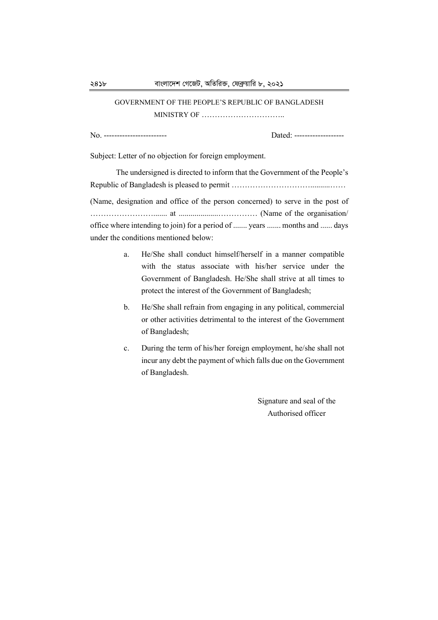## GOVERNMENT OF THE PEOPLE'S REPUBLIC OF BANGLADESH MINISTRY OF …………………………..

No. ------------------------ Dated: -------------------

Subject: Letter of no objection for foreign employment.

The undersigned is directed to inform that the Government of the People's Republic of Bangladesh is pleased to permit …………………………..........…… (Name, designation and office of the person concerned) to serve in the post of ……………………....... at ....................…………… (Name of the organisation/ office where intending to join) for a period of ....... years ....... months and ...... days under the conditions mentioned below:

- a. He/She shall conduct himself/herself in a manner compatible with the status associate with his/her service under the Government of Bangladesh. He/She shall strive at all times to protect the interest of the Government of Bangladesh;
- b. He/She shall refrain from engaging in any political, commercial or other activities detrimental to the interest of the Government of Bangladesh;
- c. During the term of his/her foreign employment, he/she shall not incur any debt the payment of which falls due on the Government of Bangladesh.

Signature and seal of the Authorised officer